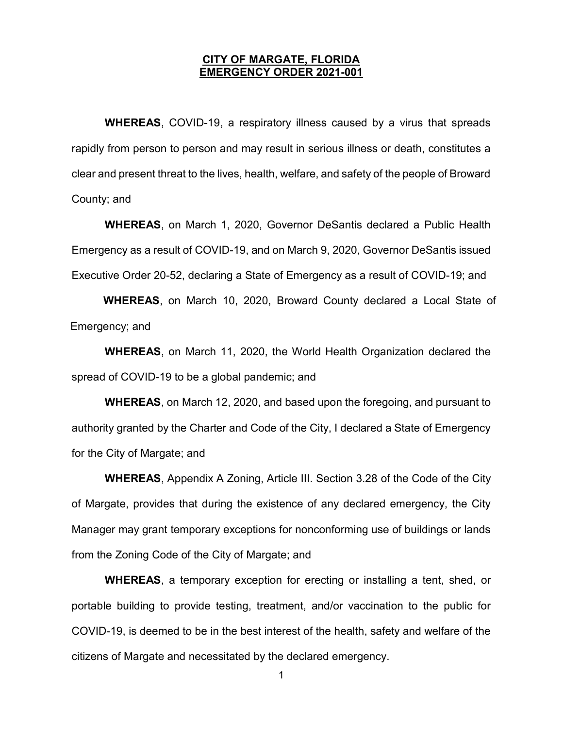## CITY OF MARGATE, FLORIDA EMERGENCY ORDER 2021-001

WHEREAS, COVID-19, a respiratory illness caused by a virus that spreads rapidly from person to person and may result in serious illness or death, constitutes a clear and present threat to the lives, health, welfare, and safety of the people of Broward County; and

WHEREAS, on March 1, 2020, Governor DeSantis declared a Public Health Emergency as a result of COVID-19, and on March 9, 2020, Governor DeSantis issued Executive Order 20-52, declaring a State of Emergency as a result of COVID-19; and

WHEREAS, on March 10, 2020, Broward County declared a Local State of Emergency; and

WHEREAS, on March 11, 2020, the World Health Organization declared the spread of COVID-19 to be a global pandemic; and

WHEREAS, on March 12, 2020, and based upon the foregoing, and pursuant to authority granted by the Charter and Code of the City, I declared a State of Emergency for the City of Margate; and

WHEREAS, Appendix A Zoning, Article III. Section 3.28 of the Code of the City of Margate, provides that during the existence of any declared emergency, the City Manager may grant temporary exceptions for nonconforming use of buildings or lands from the Zoning Code of the City of Margate; and

WHEREAS, a temporary exception for erecting or installing a tent, shed, or portable building to provide testing, treatment, and/or vaccination to the public for COVID-19, is deemed to be in the best interest of the health, safety and welfare of the citizens of Margate and necessitated by the declared emergency.

1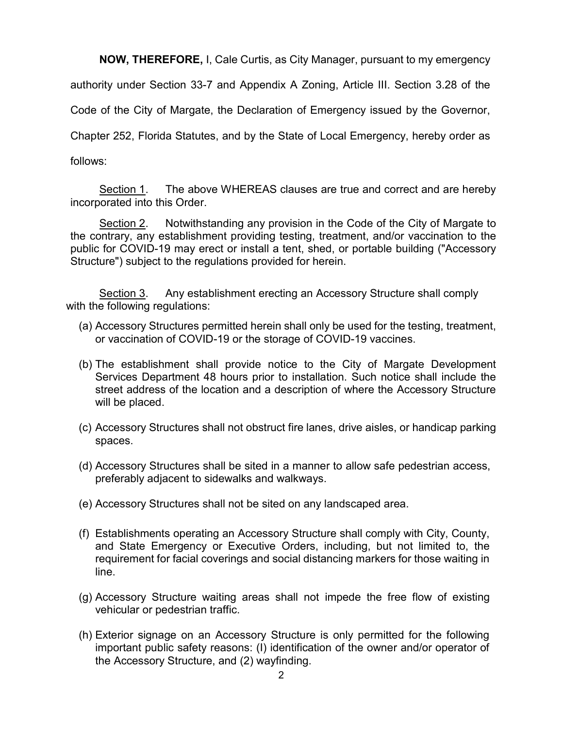NOW, THEREFORE, I, Cale Curtis, as City Manager, pursuant to my emergency

authority under Section 33-7 and Appendix A Zoning, Article III. Section 3.28 of the

Code of the City of Margate, the Declaration of Emergency issued by the Governor,

Chapter 252, Florida Statutes, and by the State of Local Emergency, hereby order as

follows:

Section 1. The above WHEREAS clauses are true and correct and are hereby incorporated into this Order.

Section 2. Notwithstanding any provision in the Code of the City of Margate to the contrary, any establishment providing testing, treatment, and/or vaccination to the public for COVID-19 may erect or install a tent, shed, or portable building ("Accessory Structure") subject to the regulations provided for herein.

 Section 3. Any establishment erecting an Accessory Structure shall comply with the following regulations:

- (a) Accessory Structures permitted herein shall only be used for the testing, treatment, or vaccination of COVID-19 or the storage of COVID-19 vaccines.
- (b) The establishment shall provide notice to the City of Margate Development Services Department 48 hours prior to installation. Such notice shall include the street address of the location and a description of where the Accessory Structure will be placed.
- (c) Accessory Structures shall not obstruct fire lanes, drive aisles, or handicap parking spaces.
- (d) Accessory Structures shall be sited in a manner to allow safe pedestrian access, preferably adjacent to sidewalks and walkways.
- (e) Accessory Structures shall not be sited on any landscaped area.
- (f) Establishments operating an Accessory Structure shall comply with City, County, and State Emergency or Executive Orders, including, but not limited to, the requirement for facial coverings and social distancing markers for those waiting in line.
- (g) Accessory Structure waiting areas shall not impede the free flow of existing vehicular or pedestrian traffic.
- (h) Exterior signage on an Accessory Structure is only permitted for the following important public safety reasons: (I) identification of the owner and/or operator of the Accessory Structure, and (2) wayfinding.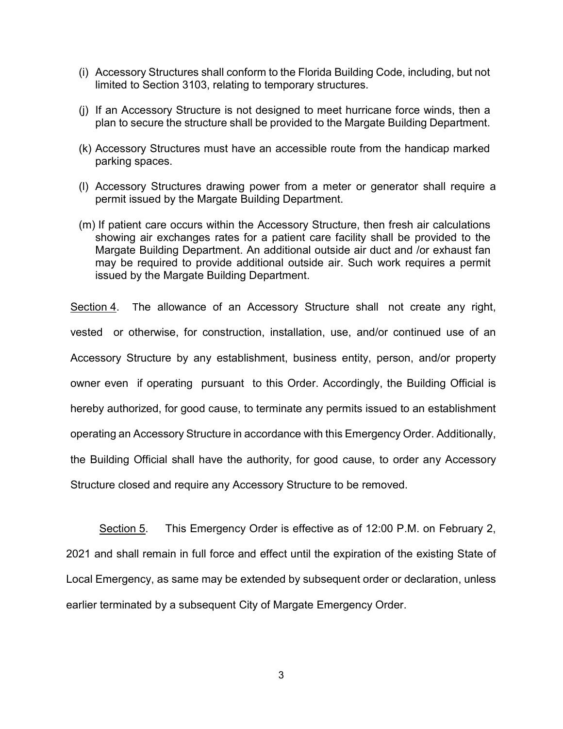- (i) Accessory Structures shall conform to the Florida Building Code, including, but not limited to Section 3103, relating to temporary structures.
- (j) If an Accessory Structure is not designed to meet hurricane force winds, then a plan to secure the structure shall be provided to the Margate Building Department.
- (k) Accessory Structures must have an accessible route from the handicap marked parking spaces.
- (l) Accessory Structures drawing power from a meter or generator shall require a permit issued by the Margate Building Department.
- (m) If patient care occurs within the Accessory Structure, then fresh air calculations showing air exchanges rates for a patient care facility shall be provided to the Margate Building Department. An additional outside air duct and /or exhaust fan may be required to provide additional outside air. Such work requires a permit issued by the Margate Building Department.

Section 4. The allowance of an Accessory Structure shall not create any right, vested or otherwise, for construction, installation, use, and/or continued use of an Accessory Structure by any establishment, business entity, person, and/or property owner even if operating pursuant to this Order. Accordingly, the Building Official is hereby authorized, for good cause, to terminate any permits issued to an establishment operating an Accessory Structure in accordance with this Emergency Order. Additionally, the Building Official shall have the authority, for good cause, to order any Accessory Structure closed and require any Accessory Structure to be removed.

 Section 5. This Emergency Order is effective as of 12:00 P.M. on February 2, 2021 and shall remain in full force and effect until the expiration of the existing State of Local Emergency, as same may be extended by subsequent order or declaration, unless earlier terminated by a subsequent City of Margate Emergency Order.